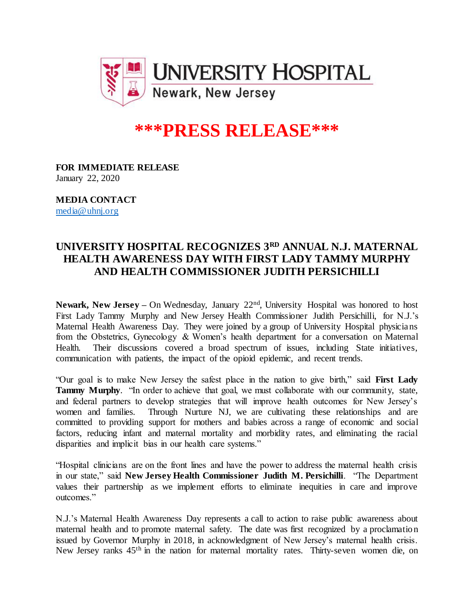

## **\*\*\*PRESS RELEASE\*\*\***

**FOR IMMEDIATE RELEASE** January 22, 2020

**MEDIA CONTACT** [media@uhnj.org](mailto:media@uhnj.org)

## **UNIVERSITY HOSPITAL RECOGNIZES 3RD ANNUAL N.J. MATERNAL HEALTH AWARENESS DAY WITH FIRST LADY TAMMY MURPHY AND HEALTH COMMISSIONER JUDITH PERSICHILLI**

Newark, New Jersey – On Wednesday, January 22<sup>nd</sup>, University Hospital was honored to host First Lady Tammy Murphy and New Jersey Health Commissioner Judith Persichilli, for N.J.'s Maternal Health Awareness Day. They were joined by a group of University Hospital physicians from the Obstetrics, Gynecology & Women's health department for a conversation on Maternal Health. Their discussions covered a broad spectrum of issues, including State initiatives, communication with patients, the impact of the opioid epidemic, and recent trends.

"Our goal is to make New Jersey the safest place in the nation to give birth," said **First Lady Tammy Murphy**. "In order to achieve that goal, we must collaborate with our community, state, and federal partners to develop strategies that will improve health outcomes for New Jersey's women and families. Through Nurture NJ, we are cultivating these relationships and are committed to providing support for mothers and babies across a range of economic and social factors, reducing infant and maternal mortality and morbidity rates, and eliminating the racial disparities and implicit bias in our health care systems."

"Hospital clinicians are on the front lines and have the power to address the maternal health crisis in our state," said **New Jersey Health Commissioner Judith M. Persichilli**. "The Department values their partnership as we implement efforts to eliminate inequities in care and improve outcomes."

N.J.'s Maternal Health Awareness Day represents a call to action to raise public awareness about maternal health and to promote maternal safety. The date was first recognized by a proclamation issued by Governor Murphy in 2018, in acknowledgment of New Jersey's maternal health crisis. New Jersey ranks 45th in the nation for maternal mortality rates. Thirty-seven women die, on